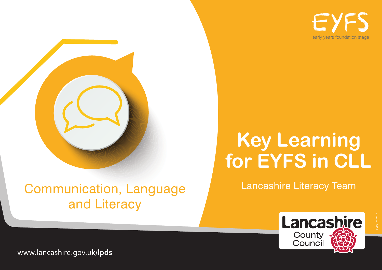EY early years foundation stage



# **Key Learning for EYFS in CLL**

Lancashire Literacy Team

Communication, Language and Literacy



comms: 6431

www.lancashire.gov.uk/**lpds**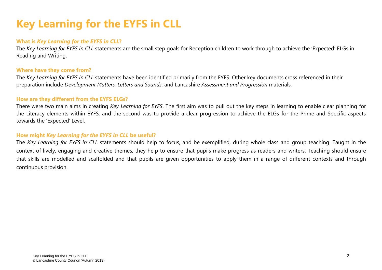## **Key Learning for the EYFS in CLL**

#### **What is** *Key Learning for the EYFS in CLL***?**

The *Key Learning for EYFS in CLL* statements are the small step goals for Reception children to work through to achieve the 'Expected' ELGs in Reading and Writing.

#### **Where have they come from?**

The *Key Learning for EYFS in CLL* statements have been identified primarily from the EYFS. Other key documents cross referenced in their preparation include *Development Matters, Letters and Sounds*, and Lancashire *Assessment and Progression* materials.

#### **How are they different from the EYFS ELGs?**

There were two main aims in creating *Key Learning for EYFS*. The first aim was to pull out the key steps in learning to enable clear planning for the Literacy elements within EYFS, and the second was to provide a clear progression to achieve the ELGs for the Prime and Specific aspects towards the 'Expected' Level.

#### **How might** *Key Learning for the EYFS in CLL* **be useful?**

The *Key Learning for EYFS in CLL* statements should help to focus, and be exemplified, during whole class and group teaching. Taught in the context of lively, engaging and creative themes, they help to ensure that pupils make progress as readers and writers. Teaching should ensure that skills are modelled and scaffolded and that pupils are given opportunities to apply them in a range of different contexts and through continuous provision.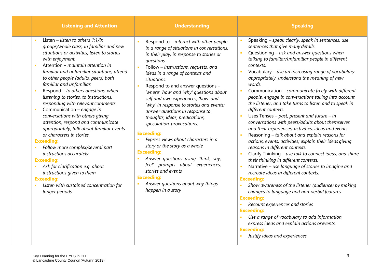| <b>Listening and Attention</b>                                                                                                                                                                                                                                                                                                                                                                                                                                                                                                                                                                                                                                                                                                                                                                                                                                                                      | <b>Understanding</b>                                                                                                                                                                                                                                                                                                                                                                                                                                                                                                                                                                                                                                                                                                                                                                                                               | <b>Speaking</b>                                                                                                                                                                                                                                                                                                                                                                                                                                                                                                                                                                                                                                                                                                                                                                                                                                                                                                                                                                                                                                                                                                                                                                                                                                                                                                                                                                                                                                                                                                           |
|-----------------------------------------------------------------------------------------------------------------------------------------------------------------------------------------------------------------------------------------------------------------------------------------------------------------------------------------------------------------------------------------------------------------------------------------------------------------------------------------------------------------------------------------------------------------------------------------------------------------------------------------------------------------------------------------------------------------------------------------------------------------------------------------------------------------------------------------------------------------------------------------------------|------------------------------------------------------------------------------------------------------------------------------------------------------------------------------------------------------------------------------------------------------------------------------------------------------------------------------------------------------------------------------------------------------------------------------------------------------------------------------------------------------------------------------------------------------------------------------------------------------------------------------------------------------------------------------------------------------------------------------------------------------------------------------------------------------------------------------------|---------------------------------------------------------------------------------------------------------------------------------------------------------------------------------------------------------------------------------------------------------------------------------------------------------------------------------------------------------------------------------------------------------------------------------------------------------------------------------------------------------------------------------------------------------------------------------------------------------------------------------------------------------------------------------------------------------------------------------------------------------------------------------------------------------------------------------------------------------------------------------------------------------------------------------------------------------------------------------------------------------------------------------------------------------------------------------------------------------------------------------------------------------------------------------------------------------------------------------------------------------------------------------------------------------------------------------------------------------------------------------------------------------------------------------------------------------------------------------------------------------------------------|
| Listen - listen to others $1:1$ /in<br>×.<br>groups/whole class, in familiar and new<br>situations or activities, listen to stories<br>with enjoyment.<br>Attention - maintain attention in<br>٠<br>familiar and unfamiliar situations, attend<br>to other people (adults, peers) both<br>familiar and unfamiliar.<br>Respond - to others questions, when<br>×.<br>listening to stories, to instructions,<br>responding with relevant comments.<br>Communication - engage in<br>Ĥ,<br>conversations with others giving<br>attention, respond and communicate<br>appropriately, talk about familiar events<br>or characters in stories.<br><b>Exceeding:</b><br>Follow more complex/several part<br>instructions accurately<br><b>Exceeding:</b><br>Ask for clarification e.g. about<br>instructions given to them<br><b>Exceeding:</b><br>Listen with sustained concentration for<br>longer periods | Respond to - interact with other people<br>in a range of situations in conversations,<br>in their play, in response to stories or<br>questions.<br>Follow - instructions, requests, and<br>$\mathbf{r}$<br>ideas in a range of contexts and<br>situations.<br>Respond to and answer questions -<br>'where' 'how' and 'why' questions about<br>self and own experiences; 'how' and<br>'why' in response to stories and events;<br>answer questions in response to<br>thoughts, ideas, predications,<br>speculation, provocations.<br><b>Exceeding:</b><br>Express views about characters in a<br>story or the story as a whole<br><b>Exceeding:</b><br>Answer questions using 'think, say,<br>feel' prompts about experiences,<br>stories and events<br><b>Exceeding:</b><br>Answer questions about why things<br>happen in a story | Speaking - speak clearly, speak in sentences, use<br>sentences that give many details.<br>Questioning - ask and answer questions when<br>$\overline{\phantom{a}}$<br>talking to familiar/unfamiliar people in different<br>contexts.<br>Vocabulary - use an increasing range of vocabulary<br>appropriately, understand the meaning of new<br>words.<br>Communication - communicate freely with different<br>$\overline{\phantom{a}}$<br>people, engage in conversations taking into account<br>the listener, and take turns to listen and to speak in<br>different contexts.<br>Uses Tenses – past, present and future – in<br>$\mathbf{r}$<br>conversations with peers/adults about themselves<br>and their experiences, activities, ideas and events.<br>Reasoning - talk about and explain reasons for<br>$\overline{\phantom{a}}$<br>actions, events, activities; explain their ideas giving<br>reasons in different contexts.<br>Clarify Thinking - use talk to connect ideas, and share<br>$\mathbf{r}$<br>their thinking in different contexts.<br>Narrative - use language of stories to imagine and<br>×<br>recreate ideas in different contexts.<br><b>Exceeding:</b><br>Show awareness of the listener (audience) by making<br>changes to language and non-verbal features<br><b>Exceeding:</b><br>Recount experiences and stories<br><b>Exceeding:</b><br>Use a range of vocabulary to add information,<br>express ideas and explain actions orevents.<br><b>Exceeding:</b><br>Justify ideas and experiences |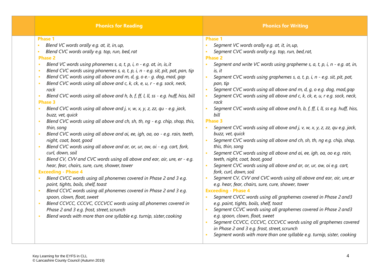| <b>Phonics for Reading</b>                                                                                                                                                                                                                                                                                                                                                                                                                                                                                                                                                                                                                                                                                                                                                                                                                                                                                                                                                                                                                                                                                                                                                                                                                                                                                                                                                                                                                                                                                                                                                                                                                                                                                        | <b>Phonics for Writing</b>                                                                                                                                                                                                                                                                                                                                                                                                                                                                                                                                                                                                                                                                                                                                                                                                                                                                                                                                                                                                                                                                                                                                                                                                                                                                                                                                                                                                                                                                                                                                                                                                                                                                        |
|-------------------------------------------------------------------------------------------------------------------------------------------------------------------------------------------------------------------------------------------------------------------------------------------------------------------------------------------------------------------------------------------------------------------------------------------------------------------------------------------------------------------------------------------------------------------------------------------------------------------------------------------------------------------------------------------------------------------------------------------------------------------------------------------------------------------------------------------------------------------------------------------------------------------------------------------------------------------------------------------------------------------------------------------------------------------------------------------------------------------------------------------------------------------------------------------------------------------------------------------------------------------------------------------------------------------------------------------------------------------------------------------------------------------------------------------------------------------------------------------------------------------------------------------------------------------------------------------------------------------------------------------------------------------------------------------------------------------|---------------------------------------------------------------------------------------------------------------------------------------------------------------------------------------------------------------------------------------------------------------------------------------------------------------------------------------------------------------------------------------------------------------------------------------------------------------------------------------------------------------------------------------------------------------------------------------------------------------------------------------------------------------------------------------------------------------------------------------------------------------------------------------------------------------------------------------------------------------------------------------------------------------------------------------------------------------------------------------------------------------------------------------------------------------------------------------------------------------------------------------------------------------------------------------------------------------------------------------------------------------------------------------------------------------------------------------------------------------------------------------------------------------------------------------------------------------------------------------------------------------------------------------------------------------------------------------------------------------------------------------------------------------------------------------------------|
| <b>Phase 1</b><br>Blend VC words orally e.g. at, it, in, up,<br>$\blacksquare$<br>Blend CVC words orally e.g. top, run, bed, rat<br>×<br><b>Phase 2</b><br>Blend VC words using phonemes s, a, t, p, i, n - e.g. at, in, is, it<br>$\mathbf{r}$<br>Blend CVC words using phonemes s, a, t, p, i, n - e.g. sit, pit, pat, pan, tip<br>×<br>Blend CVC words using all above and m, d, g, o e.- g. dog, mad, gap<br>×<br>Blend CVC words using all above and c, k, ck, e, u, r - e.g. sock, neck,<br>×<br>rack<br>Blend CVC words using all above and h, b, f, ff, l, ll, ss - e.g. huff, hiss, bill<br><b>Phase 3</b><br>Blend CVC words using all above and j, v, w, x, y, z, zz, qu - e.g. jack,<br>$\mathbf{r}$<br>buzz, vet, quick<br>Blend CVC words using all above and ch, sh, th, ng - e.g. chip, shop, this,<br>$\mathbf{r}$<br>thin, song<br>Blend CVC words using all above and ai, ee, igh, oa, oo - e.g. rain, teeth,<br>$\mathbf{r}$<br>night, coat, boot, good<br>Blend CVC words using all above and ar, or, ur, ow, oi - e.g. cart, fork,<br>$\mathbf{r}$<br>curl, down, soil<br>Blend CV, CVV and CVC words using all above and ear, air, ure, er - e.g.<br>$\mathbf{r}$<br>hear, fear, chairs, sure, cure, shower, tower<br><b>Exceeding - Phase 4</b><br>Blend CVCC words using all phonemes covered in Phase 2 and 3 e.g.<br>$\mathbf{r}$<br>paint, tights, boils, shelf, toast<br>Blend CCVC words using all phonemes covered in Phase 2 and 3 e.g.<br>spoon, clown, float, sweet<br>Blend CCVCC, CCCVC, CCCVCC words using all phonemes covered in<br>$\mathbf{r}$<br>Phase 2 and 3 e.g. frost, street, scrunch<br>Blend words with more than one syllable e.g. turnip, sister, cooking<br>× | <b>Phase 1</b><br>Segment VC words orally e.g. at, it, in, up,<br>×<br>Segment CVC words orally e.g. top, run, bed, rat,<br><b>Phase 2</b><br>Segment and write VC words using grapheme s, $a$ , $t$ , $p$ , $i$ , $n$ - e.g. at, in,<br>is, it<br>Segment CVC words using graphemes s, a, t, p, i, n - e.g. sit, pit, pat,<br>Î.<br>pan, tip<br>Segment CVC words using all above and m, d, g, o e.g. dog, mad, gap<br>$\mathbf{r}$<br>Segment CVC words using all above and c, k, ck, e, u, r e.g. sock, neck,<br>$\mathbf{r}$<br>rack<br>Segment CVC words using all above and h, b, f, ff, l, ll, ss e.g. huff, hiss,<br>$\blacksquare$<br>bill<br><b>Phase 3</b><br>Segment CVC words using all above and j, v, w, x, y, z, zz, qu e.g. jack,<br>$\mathbf{r}$<br>buzz, vet, quick<br>Seqment CVC words using all above and ch, sh, th, ng e.g. chip, shop,<br>×<br>this, thin, song<br>Segment CVC words using all above and ai, ee, igh, oa, oo e.g. rain,<br>teeth, night, coat, boot, good<br>Segment CVC words using all above and ar, or, ur, ow, oi e.g. cart,<br>$\mathbf{r}$<br>fork, curl, down, soil<br>Segment CV, CVV and CVC words using all above and ear, air, ure, er<br>e.g. hear, fear, chairs, sure, cure, shower, tower<br><b>Exceeding - Phase 4</b><br>Segment CVCC words using all graphemes covered in Phase 2 and3<br>e.g. paint, tights, boils, shelf, toast<br>Segment CCVC words using all graphemes covered in Phase 2 and3<br>×<br>e.g. spoon, clown, float, sweet<br>Segment CCVCC, CCCVC, CCCVCC words using all graphemes covered<br>in Phase 2 and 3 e.g. frost, street, scrunch<br>Segment words with more than one syllable e.g. turnip, sister, cooking |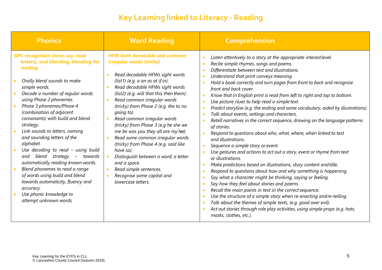## **Key Learning linked to Literacy - Reading**

| <b>Phonics</b>                                                                                                                                                                                                                                                                                                                                                                                                                                                                                                                                                                                                                                                                                   | <b>Word Reading</b>                                                                                                                                                                                                                                                                                                                                                                                                                                                                                                                                                                                                                                                                    | <b>Comprehension</b>                                                                                                                                                                                                                                                                                                                                                                                                                                                                                                                                                                                                                                                                                                                                                                                                                                                                                                                                                                                                                                                                                                                                                                                                                                                                                                                                                                                                                                                                                                                                                                                                                                                                             |
|--------------------------------------------------------------------------------------------------------------------------------------------------------------------------------------------------------------------------------------------------------------------------------------------------------------------------------------------------------------------------------------------------------------------------------------------------------------------------------------------------------------------------------------------------------------------------------------------------------------------------------------------------------------------------------------------------|----------------------------------------------------------------------------------------------------------------------------------------------------------------------------------------------------------------------------------------------------------------------------------------------------------------------------------------------------------------------------------------------------------------------------------------------------------------------------------------------------------------------------------------------------------------------------------------------------------------------------------------------------------------------------------------|--------------------------------------------------------------------------------------------------------------------------------------------------------------------------------------------------------------------------------------------------------------------------------------------------------------------------------------------------------------------------------------------------------------------------------------------------------------------------------------------------------------------------------------------------------------------------------------------------------------------------------------------------------------------------------------------------------------------------------------------------------------------------------------------------------------------------------------------------------------------------------------------------------------------------------------------------------------------------------------------------------------------------------------------------------------------------------------------------------------------------------------------------------------------------------------------------------------------------------------------------------------------------------------------------------------------------------------------------------------------------------------------------------------------------------------------------------------------------------------------------------------------------------------------------------------------------------------------------------------------------------------------------------------------------------------------------|
| <b>GPC recognition (hear, say, read</b><br>letters), oral blending, blending for<br>reading<br>Orally blend sounds to make<br>simple words.<br>Decode a number of regular words<br>using Phase 2 phonemes.<br>Phase 3 phonemes/Phase 4<br>(combination of adjacent<br>consonants) with build and blend<br>strategy.<br>Link sounds to letters, naming<br>and sounding letters of the<br>alphabet.<br>Use decoding to read $-$ using build<br>blend strategy –<br>towards<br>and<br>automatically reading known words.<br>Blend phonemes to read a range<br>of words using build and blend<br>towards automaticity, fluency and<br>accuracy.<br>Use phonic knowledge to<br>attempt unknown words. | <b>HFW both decodable and common</b><br>irregular words (tricky)<br>Read decodable HFWs sight words<br>(list1) (e.g. $a$ an as at if in).<br>Read decodable HFWs sight words<br>(list2) (e.g. will that this then them).<br>Read common irregular words<br>$\bullet$<br>(tricky) from Phase 2 (e.g. the to no<br>going to).<br>Read common irregular words<br>$\bullet$<br>(tricky) from Phase 3 (e.g he she we<br>me be was you they all are my her).<br>Read some common irregular words<br>(tricky) from Phase 4 (e.g. said like<br>have so).<br>Distinguish between a word, a letter<br>and a space.<br>Read simple sentences.<br>Recognise some capital and<br>lowercase letters. | Listen attentively to a story at the appropriate interest level.<br>$\bullet$<br>Recite simple rhymes, songs and poems.<br>Differentiate between text and illustrations.<br>$\bullet$<br>Understand that print conveys meaning.<br>$\bullet$<br>Hold a book correctly and turn pages from front to back and recognise<br>$\bullet$<br>front and back cover.<br>Know that in English print is read from left to right and top to bottom.<br>$\bullet$<br>Use picture clues to help read a simple text.<br>$\bullet$<br>Predict storyline (e.g. the ending and some vocabulary, aided by illustrations).<br>$\bullet$<br>Talk about events, settings and characters.<br>$\bullet$<br>Retell narratives in the correct sequence, drawing on the language patterns<br>$\bullet$<br>of stories.<br>Respond to questions about who, what, where, when linked to text<br>$\bullet$<br>and illustrations.<br>Sequence a simple story or event.<br>$\bullet$<br>Use gestures and actions to act out a story, event or rhyme from text<br>$\bullet$<br>or illustrations.<br>Make predictions based on illustrations, story content and title.<br>$\bullet$<br>Respond to questions about how and why something is happening.<br>$\bullet$<br>Say what a character might be thinking, saying or feeling.<br>$\bullet$<br>Say how they feel about stories and poems.<br>$\bullet$<br>Recall the main points in text in the correct sequence.<br>$\bullet$<br>Use the structure of a simple story when re-enacting and re-telling.<br>Talk about the themes of simple texts, (e.g. good over evil).<br>Act out stories through role play activities, using simple props (e.g. hats,<br>masks, clothes, etc.). |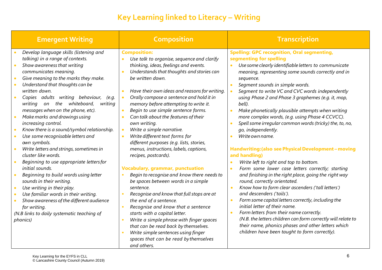## **Key Learning linked to Literacy – Writing**

| <b>Emergent Writing</b>                                                                                                                                                                                                                                                                                                                                                                                                                                                                              | <b>Composition</b>                                                                                                                                                                                                                                                                                                                                                                                                                                                                                                                                                                                                            | <b>Transcription</b>                                                                                                                                                                                                                                                                                                                                                                                                                                                                                                                                                                                                                                                                                                     |
|------------------------------------------------------------------------------------------------------------------------------------------------------------------------------------------------------------------------------------------------------------------------------------------------------------------------------------------------------------------------------------------------------------------------------------------------------------------------------------------------------|-------------------------------------------------------------------------------------------------------------------------------------------------------------------------------------------------------------------------------------------------------------------------------------------------------------------------------------------------------------------------------------------------------------------------------------------------------------------------------------------------------------------------------------------------------------------------------------------------------------------------------|--------------------------------------------------------------------------------------------------------------------------------------------------------------------------------------------------------------------------------------------------------------------------------------------------------------------------------------------------------------------------------------------------------------------------------------------------------------------------------------------------------------------------------------------------------------------------------------------------------------------------------------------------------------------------------------------------------------------------|
| Develop language skills (listening and<br>talking) in a range of contexts.<br>Show awareness that writing<br>communicates meaning.<br>Give meaning to the marks they make.<br>Understand that thoughts can be<br>written down.<br>Copies adults writing behaviour, (e.g.<br>on the whiteboard,<br>writing<br>writing<br>messages when on the phone, etc).<br>Make marks and drawings using<br>increasing control.<br>Know there is a sound/symbol relationship.<br>Use some recognisable letters and | <b>Composition:</b><br>Use talk to organise, sequence and clarify<br>$\bullet$<br>thinking, ideas, feelings and events.<br>Understands that thoughts and stories can<br>$\bullet$<br>be written down.<br>Have their own ideas and reasons for writing.<br>$\bullet$<br>Orally compose a sentence and hold it in<br>$\bullet$<br>memory before attempting to write it.<br>Begin to use simple sentence forms.<br>Can talk about the features of their<br>own writing.<br>Write a simple narrative.<br>$\bullet$<br>Write different text forms for<br>$\bullet$                                                                 | <b>Spelling: GPC recognition, Oral segmenting,</b><br>segmenting for spelling<br>Use some clearly identifiable letters to communicate<br>$\bullet$<br>meaning, representing some sounds correctly and in<br>sequence.<br>Segment sounds in simple words.<br>$\bullet$<br>Segment to write VC and CVC words independently<br>using Phase 2 and Phase 3 graphemes (e.g. it, mop,<br>bell).<br>Make phonetically plausible attempts when writing<br>$\bullet$<br>more complex words, (e.g. using Phase 4 CCVCC).<br>Spell some irregular common words (tricky) the, to, no,<br>go, independently.<br>Write own name.<br>$\bullet$                                                                                           |
| own symbols.<br>Write letters and strings, sometimes in<br>cluster like words.<br>Beginning to use appropriate letters for<br>initial sounds.<br>Beginning to build words using letter<br>sounds in their writing.<br>Use writing in their play.<br>Use familiar words in their writing.<br>Show awareness of the different audience<br>for writing.<br>(N.B links to daily systematic teaching of<br><i>phonics</i> )                                                                               | different purposes (e.g. lists, stories,<br>menus, instructions, labels, captions,<br>recipes, postcards).<br><b>Vocabulary, grammar, punctuation</b><br>Begin to recognise and know there needs to<br>$\bullet$<br>be spaces between words in a simple<br>sentence.<br>Recognise and know that full stops are at<br>the end of a sentence.<br>Recognise and know that a sentence<br>$\bullet$<br>starts with a capital letter.<br>Write a simple phrase with finger spaces<br>$\bullet$<br>that can be read back by themselves.<br>Write simple sentences using finger<br>$\bullet$<br>spaces that can be read by themselves | Handwriting: (also see Physical Development - moving<br>and handling)<br>Write left to right and top to bottom.<br>$\bullet$<br>Form some lower case letters correctly; starting<br>$\bullet$<br>and finishing in the right place, going the right way<br>round, correctly orientated.<br>Know how to form clear ascenders ('tall letters')<br>$\bullet$<br>and descenders ('tails').<br>Form some capital letters correctly, including the<br>$\bullet$<br>initial letter of their name.<br>Form letters from their name correctly.<br>$\bullet$<br>(N.B. the letters children can form correctly will relate to<br>their name, phonics phases and other letters which<br>children have been taught to form correctly). |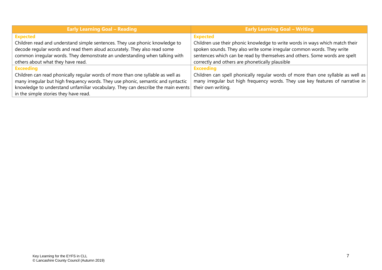| <b>Early Learning Goal - Reading</b>                                             | <b>Early Learning Goal - Writing</b>                                             |
|----------------------------------------------------------------------------------|----------------------------------------------------------------------------------|
| <b>Expected</b>                                                                  | <b>Expected</b>                                                                  |
| Children read and understand simple sentences. They use phonic knowledge to      | Children use their phonic knowledge to write words in ways which match their     |
| decode regular words and read them aloud accurately. They also read some         | spoken sounds. They also write some irregular common words. They write           |
| common irregular words. They demonstrate an understanding when talking with      | sentences which can be read by themselves and others. Some words are spelt       |
| others about what they have read.                                                | correctly and others are phonetically plausible                                  |
| <b>Exceeding</b>                                                                 | <b>Exceeding</b>                                                                 |
| Children can read phonically regular words of more than one syllable as well as  | Children can spell phonically regular words of more than one syllable as well as |
| many irregular but high frequency words. They use phonic, semantic and syntactic | many irregular but high frequency words. They use key features of narrative in   |
| knowledge to understand unfamiliar vocabulary. They can describe the main events | their own writing.                                                               |
| in the simple stories they have read.                                            |                                                                                  |